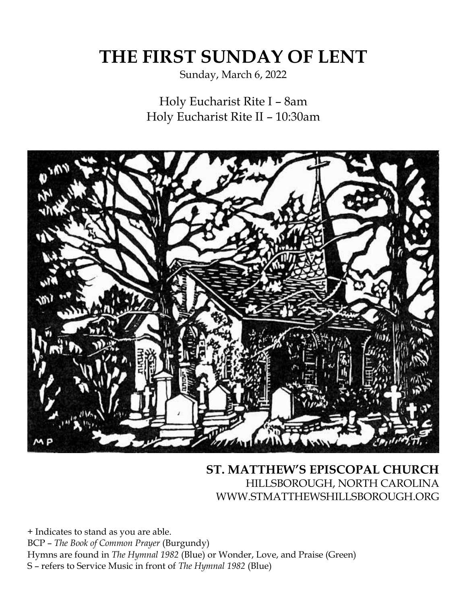# **THE FIRST SUNDAY OF LENT**

Sunday, March 6, 2022

Holy Eucharist Rite I – 8am Holy Eucharist Rite II – 10:30am



# **ST. MATTHEW'S EPISCOPAL CHURCH** HILLSBOROUGH, NORTH CAROLINA WWW.STMATTHEWSHILLSBOROUGH.ORG

+ Indicates to stand as you are able. BCP – *The Book of Common Prayer* (Burgundy) Hymns are found in *The Hymnal 1982* (Blue) or Wonder, Love, and Praise (Green) S – refers to Service Music in front of *The Hymnal 1982* (Blue)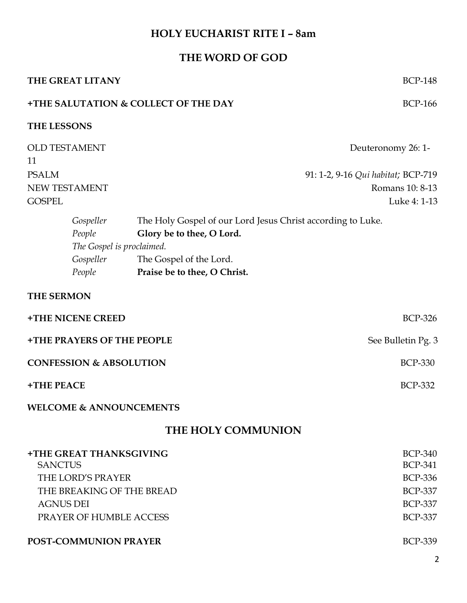# **HOLY EUCHARIST RITE I – 8am**

# **THE WORD OF GOD**

|                                                                         | THE GREAT LITANY                                                                                            |                                                                                                                                                     | <b>BCP-148</b>                                                                                           |  |  |
|-------------------------------------------------------------------------|-------------------------------------------------------------------------------------------------------------|-----------------------------------------------------------------------------------------------------------------------------------------------------|----------------------------------------------------------------------------------------------------------|--|--|
| <b>+THE SALUTATION &amp; COLLECT OF THE DAY</b><br><b>BCP-166</b>       |                                                                                                             |                                                                                                                                                     |                                                                                                          |  |  |
| THE LESSONS                                                             |                                                                                                             |                                                                                                                                                     |                                                                                                          |  |  |
| <b>OLD TESTAMENT</b><br>11                                              |                                                                                                             |                                                                                                                                                     | Deuteronomy 26: 1-                                                                                       |  |  |
| <b>PSALM</b><br>NEW TESTAMENT<br><b>GOSPEL</b>                          |                                                                                                             |                                                                                                                                                     | 91: 1-2, 9-16 Qui habitat; BCP-719<br>Romans 10: 8-13<br>Luke 4: 1-13                                    |  |  |
|                                                                         | Gospeller<br>People<br>The Gospel is proclaimed.<br>Gospeller<br>People                                     | The Holy Gospel of our Lord Jesus Christ according to Luke.<br>Glory be to thee, O Lord.<br>The Gospel of the Lord.<br>Praise be to thee, O Christ. |                                                                                                          |  |  |
| <b>THE SERMON</b>                                                       |                                                                                                             |                                                                                                                                                     |                                                                                                          |  |  |
| +THE NICENE CREED                                                       |                                                                                                             |                                                                                                                                                     | <b>BCP-326</b>                                                                                           |  |  |
| <b>+THE PRAYERS OF THE PEOPLE</b><br><b>CONFESSION &amp; ABSOLUTION</b> |                                                                                                             |                                                                                                                                                     | See Bulletin Pg. 3<br><b>BCP-330</b>                                                                     |  |  |
| +THE PEACE                                                              |                                                                                                             |                                                                                                                                                     | <b>BCP-332</b>                                                                                           |  |  |
|                                                                         | <b>WELCOME &amp; ANNOUNCEMENTS</b>                                                                          |                                                                                                                                                     |                                                                                                          |  |  |
| <b>THE HOLY COMMUNION</b>                                               |                                                                                                             |                                                                                                                                                     |                                                                                                          |  |  |
| <b>SANCTUS</b><br><b>AGNUS DEI</b>                                      | <b>+THE GREAT THANKSGIVING</b><br>THE LORD'S PRAYER<br>THE BREAKING OF THE BREAD<br>PRAYER OF HUMBLE ACCESS |                                                                                                                                                     | <b>BCP-340</b><br><b>BCP-341</b><br><b>BCP-336</b><br><b>BCP-337</b><br><b>BCP-337</b><br><b>BCP-337</b> |  |  |

#### **POST-COMMUNION PRAYER** BCP-339

2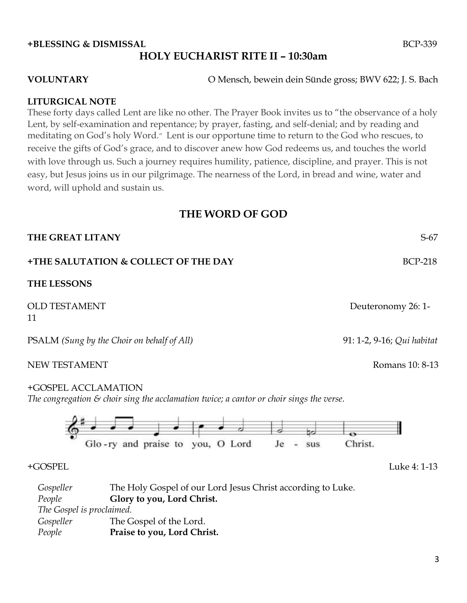### **+BLESSING & DISMISSAL** BCP-339 **HOLY EUCHARIST RITE II – 10:30am**

**VOLUNTARY** O Mensch, bewein dein Sünde gross; BWV 622; J. S. Bach

#### **LITURGICAL NOTE**

These forty days called Lent are like no other. The Prayer Book invites us to "the observance of a holy Lent, by self-examination and repentance; by prayer, fasting, and self-denial; and by reading and meditating on God's holy Word." Lent is our opportune time to return to the God who rescues, to receive the gifts of God's grace, and to discover anew how God redeems us, and touches the world with love through us. Such a journey requires humility, patience, discipline, and prayer. This is not easy, but Jesus joins us in our pilgrimage. The nearness of the Lord, in bread and wine, water and word, will uphold and sustain us.

#### **THE WORD OF GOD**

| THE GREAT LITANY                                                                                                           | $S-67$                     |
|----------------------------------------------------------------------------------------------------------------------------|----------------------------|
| +THE SALUTATION & COLLECT OF THE DAY                                                                                       | <b>BCP-218</b>             |
| <b>THE LESSONS</b>                                                                                                         |                            |
| <b>OLD TESTAMENT</b><br>11                                                                                                 | Deuteronomy 26: 1-         |
| PSALM (Sung by the Choir on behalf of All)                                                                                 | 91: 1-2, 9-16; Qui habitat |
| <b>NEW TESTAMENT</b>                                                                                                       | Romans 10: 8-13            |
| +GOSPEL ACCLAMATION<br>The congregation $\varepsilon$ choir sing the acclamation twice; a cantor or choir sings the verse. |                            |
| Glo-ry and praise to you, O Lord<br>Je<br>sus                                                                              | Christ.                    |
| +GOSPEL                                                                                                                    | Luke 4: 1-13               |

*Gospeller* The Holy Gospel of our Lord Jesus Christ according to Luke. *People* **Glory to you, Lord Christ.** *The Gospel is proclaimed. Gospeller* The Gospel of the Lord. *People* **Praise to you, Lord Christ.**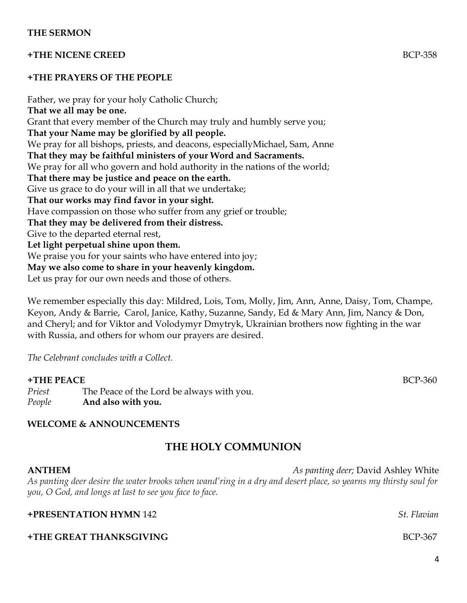#### **+THE NICENE CREED** BCP-358

#### **+THE PRAYERS OF THE PEOPLE**

Father, we pray for your holy Catholic Church; **That we all may be one.** Grant that every member of the Church may truly and humbly serve you; **That your Name may be glorified by all people.** We pray for all bishops, priests, and deacons, especiallyMichael, Sam, Anne **That they may be faithful ministers of your Word and Sacraments.** We pray for all who govern and hold authority in the nations of the world; **That there may be justice and peace on the earth.** Give us grace to do your will in all that we undertake; **That our works may find favor in your sight.** Have compassion on those who suffer from any grief or trouble; **That they may be delivered from their distress.** Give to the departed eternal rest, **Let light perpetual shine upon them.** We praise you for your saints who have entered into joy; **May we also come to share in your heavenly kingdom.** Let us pray for our own needs and those of others.

We remember especially this day: Mildred, Lois, Tom, Molly, Jim, Ann, Anne, Daisy, Tom, Champe, Keyon, Andy & Barrie, Carol, Janice, Kathy, Suzanne, Sandy, Ed & Mary Ann, Jim, Nancy & Don, and Cheryl; and for Viktor and Volodymyr Dmytryk, Ukrainian brothers now fighting in the war with Russia, and others for whom our prayers are desired.

*The Celebrant concludes with a Collect.* 

#### **+THE PEACE** BCP-360

*Priest* The Peace of the Lord be always with you. *People* **And also with you.**

#### **WELCOME & ANNOUNCEMENTS**

# **THE HOLY COMMUNION**

#### **ANTHEM** *As panting deer;* David Ashley White

*As panting deer desire the water brooks when wand'ring in a dry and desert place, so yearns my thirsty soul for you, O God, and longs at last to see you face to face.* 

# **+PRESENTATION HYMN** 142 *St. Flavian*  **+THE GREAT THANKSGIVING** BCP-367

4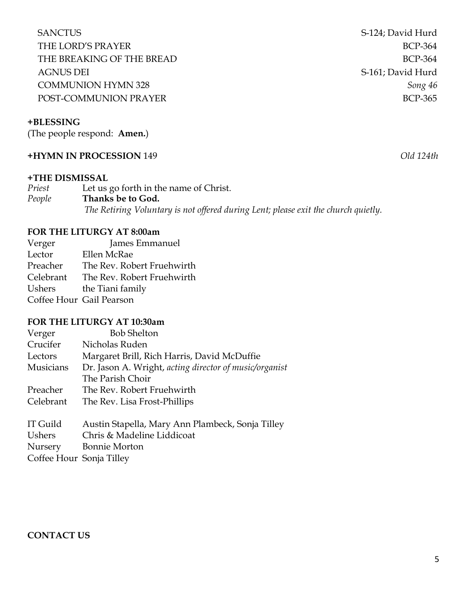SANCTUS SANCTUS SANCTUS THE LORD'S PRAYER BCP-364 THE BREAKING OF THE BREAD BCP-364 AGNUS DEI S-161; David Hurd COMMUNION HYMN 328 *Song 46* POST-COMMUNION PRAYERBCP-365

#### **+BLESSING**

(The people respond: **Amen.**)

#### **+HYMN IN PROCESSION** 149 *Old 124th*

#### **+THE DISMISSAL**

| Priest | Let us go forth in the name of Christ.                                             |  |
|--------|------------------------------------------------------------------------------------|--|
| People | Thanks be to God.                                                                  |  |
|        | The Retiring Voluntary is not offered during Lent; please exit the church quietly. |  |

#### **FOR THE LITURGY AT 8:00am**

Verger James Emmanuel Lector Ellen McRae Preacher The Rev. Robert Fruehwirth Celebrant The Rev. Robert Fruehwirth Ushers the Tiani family Coffee Hour Gail Pearson

#### **FOR THE LITURGY AT 10:30am**

| Verger           | <b>Bob Shelton</b>                                     |
|------------------|--------------------------------------------------------|
| Crucifer         | Nicholas Ruden                                         |
| Lectors          | Margaret Brill, Rich Harris, David McDuffie            |
| <b>Musicians</b> | Dr. Jason A. Wright, acting director of music/organist |
|                  | The Parish Choir                                       |
| Preacher         | The Rev. Robert Fruehwirth                             |
| Celebrant        | The Rev. Lisa Frost-Phillips                           |
| IT Guild         | Austin Stapella, Mary Ann Plambeck, Sonja Tilley       |

Ushers Chris & Madeline Liddicoat Nursery Bonnie Morton Coffee Hour Sonja Tilley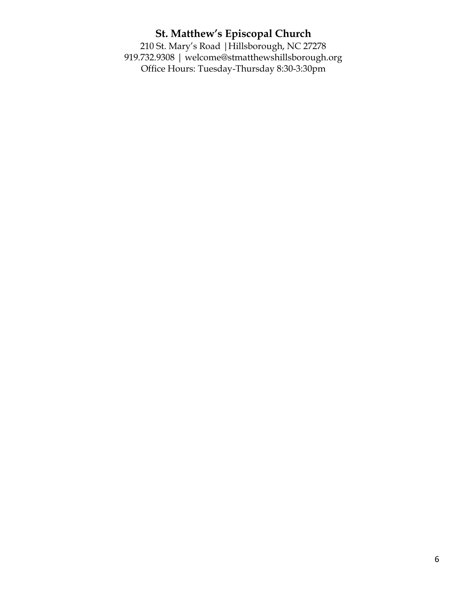# **St. Matthew's Episcopal Church**

210 St. Mary's Road |Hillsborough, NC 27278 919.732.9308 | welcome@stmatthewshillsborough.org Office Hours: Tuesday-Thursday 8:30-3:30pm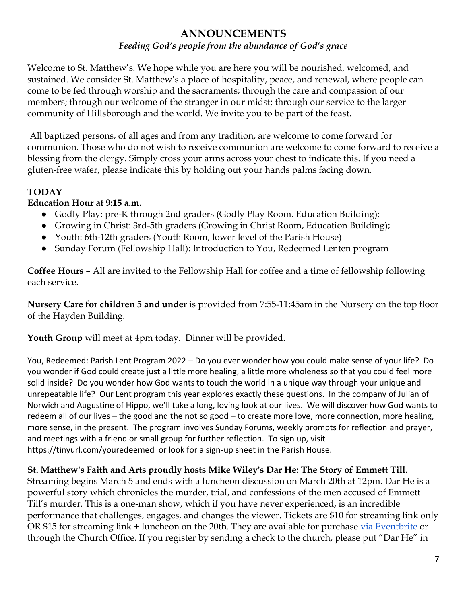# **ANNOUNCEMENTS**

#### *Feeding God's people from the abundance of God's grace*

Welcome to St. Matthew's. We hope while you are here you will be nourished, welcomed, and sustained. We consider St. Matthew's a place of hospitality, peace, and renewal, where people can come to be fed through worship and the sacraments; through the care and compassion of our members; through our welcome of the stranger in our midst; through our service to the larger community of Hillsborough and the world. We invite you to be part of the feast.

All baptized persons, of all ages and from any tradition, are welcome to come forward for communion. Those who do not wish to receive communion are welcome to come forward to receive a blessing from the clergy. Simply cross your arms across your chest to indicate this. If you need a gluten-free wafer, please indicate this by holding out your hands palms facing down.

#### **TODAY**

#### **Education Hour at 9:15 a.m.**

- Godly Play: pre-K through 2nd graders (Godly Play Room. Education Building);
- Growing in Christ: 3rd-5th graders (Growing in Christ Room, Education Building);
- Youth: 6th-12th graders (Youth Room, lower level of the Parish House)
- Sunday Forum (Fellowship Hall): Introduction to You, Redeemed Lenten program

**Coffee Hours –** All are invited to the Fellowship Hall for coffee and a time of fellowship following each service.

**Nursery Care for children 5 and under** is provided from 7:55-11:45am in the Nursery on the top floor of the Hayden Building.

**Youth Group** will meet at 4pm today. Dinner will be provided.

You, Redeemed: Parish Lent Program 2022 – Do you ever wonder how you could make sense of your life? Do you wonder if God could create just a little more healing, a little more wholeness so that you could feel more solid inside? Do you wonder how God wants to touch the world in a unique way through your unique and unrepeatable life? Our Lent program this year explores exactly these questions. In the company of Julian of Norwich and Augustine of Hippo, we'll take a long, loving look at our lives. We will discover how God wants to redeem all of our lives – the good and the not so good – to create more love, more connection, more healing, more sense, in the present. The program involves Sunday Forums, weekly prompts for reflection and prayer, and meetings with a friend or small group for further reflection. To sign up, visit https://tinyurl.com/youredeemed or look for a sign-up sheet in the Parish House.

#### **St. Matthew's Faith and Arts proudly hosts Mike Wiley's Dar He: The Story of Emmett Till.**

Streaming begins March 5 and ends with a luncheon discussion on March 20th at 12pm. Dar He is a powerful story which chronicles the murder, trial, and confessions of the men accused of Emmett Till's murder. This is a one-man show, which if you have never experienced, is an incredible performance that challenges, engages, and changes the viewer. Tickets are \$10 for streaming link only OR \$15 for streaming link + luncheon on the 20th. They are available for purchase [via Eventbrite](https://www.eventbrite.com/e/272799910877) or through the Church Office. If you register by sending a check to the church, please put "Dar He" in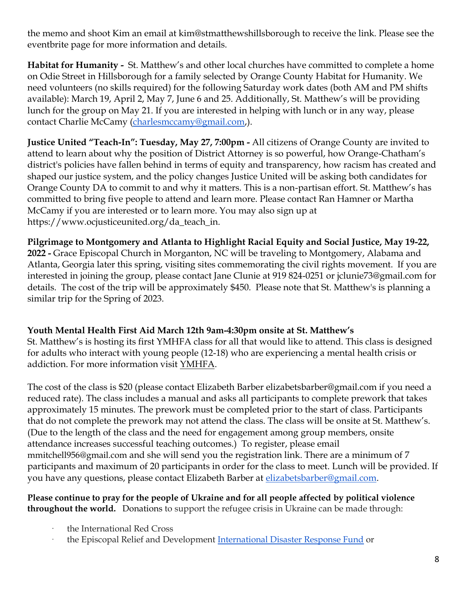the memo and shoot Kim an email at kim@stmatthewshillsborough to receive the link. Please see the eventbrite page for more information and details.

**Habitat for Humanity -** St. Matthew's and other local churches have committed to complete a home on Odie Street in Hillsborough for a family selected by Orange County Habitat for Humanity. We need volunteers (no skills required) for the following Saturday work dates (both AM and PM shifts available): March 19, April 2, May 7, June 6 and 25. Additionally, St. Matthew's will be providing lunch for the group on May 21. If you are interested in helping with lunch or in any way, please contact Charlie McCamy [\(charlesmccamy@gmail.com,](mailto:charlesmccamy@gmail.com)).

**Justice United "Teach-In": Tuesday, May 27, 7:00pm -** All citizens of Orange County are invited to attend to learn about why the position of District Attorney is so powerful, how Orange-Chatham's district's policies have fallen behind in terms of equity and transparency, how racism has created and shaped our justice system, and the policy changes Justice United will be asking both candidates for Orange County DA to commit to and why it matters. This is a non-partisan effort. St. Matthew's has committed to bring five people to attend and learn more. Please contact Ran Hamner or Martha McCamy if you are interested or to learn more. You may also sign up at https://www.ocjusticeunited.org/da\_teach\_in.

**Pilgrimage to Montgomery and Atlanta to Highlight Racial Equity and Social Justice, May 19-22,** 

**2022 -** Grace Episcopal Church in Morganton, NC will be traveling to Montgomery, Alabama and Atlanta, Georgia later this spring, visiting sites commemorating the civil rights movement. If you are interested in joining the group, please contact Jane Clunie at 919 824-0251 or jclunie73@gmail.com for details. The cost of the trip will be approximately \$450. Please note that St. Matthew's is planning a similar trip for the Spring of 2023.

#### **Youth Mental Health First Aid March 12th 9am-4:30pm onsite at St. Matthew's**

St. Matthew's is hosting its first YMHFA class for all that would like to attend. This class is designed for adults who interact with young people (12-18) who are experiencing a mental health crisis or addiction. For more information visit [YMHFA.](https://www.mentalhealthfirstaid.org/population-focused-modules/youth/)

The cost of the class is \$20 (please contact Elizabeth Barber elizabetsbarber@gmail.com if you need a reduced rate). The class includes a manual and asks all participants to complete prework that takes approximately 15 minutes. The prework must be completed prior to the start of class. Participants that do not complete the prework may not attend the class. The class will be onsite at St. Matthew's. (Due to the length of the class and the need for engagement among group members, onsite attendance increases successful teaching outcomes.) To register, please email mmitchell956@gmail.com and she will send you the registration link. There are a minimum of 7 participants and maximum of 20 participants in order for the class to meet. Lunch will be provided. If you have any questions, please contact Elizabeth Barber at [elizabetsbarber@gmail.com.](mailto:elizabetsbarber@gmail.com)

#### **Please continue to pray for the people of Ukraine and for all people affected by political violence throughout the world.** Donations to support the refugee crisis in Ukraine can be made through:

- · the International Red Cross
- the Episcopal Relief and Development [International Disaster Response Fund](https://r20.rs6.net/tn.jsp?f=001Uzm8eYS-Ve7ysEt5ST20w4iIrbJBgVeAjSVgu2kcAZg2av2e866fIONLaJxN92kZWafUU2HL4mYCpN_HpwY1g5nCU6siESWaylPJ4Cq4zTbV5DkvXxwnGcXBRbyhcmJK2vRTEB3YCGEugba4xe8hgRydReutZojgbC9P_1v69iaiCVsseq-rgHzPQ-OFDpcCsT3PKaMwszzAnVMHRoJ0_3qx7TcQaDtFL8NmUQS1CXHoX8G24CXaUTgP1df6eLYh5xC3nDNY4jBCAn42MQ285VzjXD1T3_D8mkvooYqq7Zdgc1XlXrrNVwpEvp5gzGuv&c=iGFvqW93F2fCEFpbmjZYh6mrGwGaTylMGGqLjU9UFWVBfn-FhPJxZw==&ch=nePeyEVxhxhcfQVVQNwUg8hzCMf6sCcxUDNX9j-dhCJKsVar2p4SmA==) or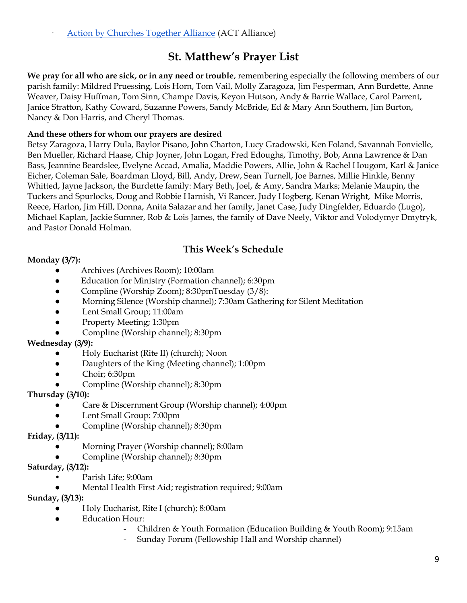[Action by Churches Together Alliance](https://r20.rs6.net/tn.jsp?f=001Uzm8eYS-Ve7ysEt5ST20w4iIrbJBgVeAjSVgu2kcAZg2av2e866fIONLaJxN92kZYo_LnWlNXFKqBcrKuY8xSQGaZeMsrbubsLPMte1wsNRRbns0A-SgyFyT0EpJYFRBC9GfJ9F7RA_08GohEapNhAWYXS12j4YTRJfrynyqqIZKRk3UNd2LZuE_pfaYB-06S5CBDuCvZkkfq3xIQZ9oOfLKRZyH-zBii59kRkv3quJR1D9HfUQ5Z-EL_1jkzKoX2Q7Xv5xu1UQ=&c=iGFvqW93F2fCEFpbmjZYh6mrGwGaTylMGGqLjU9UFWVBfn-FhPJxZw==&ch=nePeyEVxhxhcfQVVQNwUg8hzCMf6sCcxUDNX9j-dhCJKsVar2p4SmA==) (ACT Alliance)

# **St. Matthew's Prayer List**

**We pray for all who are sick, or in any need or trouble**, remembering especially the following members of our parish family: Mildred Pruessing, Lois Horn, Tom Vail, Molly Zaragoza, Jim Fesperman, Ann Burdette, Anne Weaver, Daisy Huffman, Tom Sinn, Champe Davis, Keyon Hutson, Andy & Barrie Wallace, Carol Parrent, Janice Stratton, Kathy Coward, Suzanne Powers, Sandy McBride, Ed & Mary Ann Southern, Jim Burton, Nancy & Don Harris, and Cheryl Thomas.

#### **And these others for whom our prayers are desired**

Betsy Zaragoza, Harry Dula, Baylor Pisano, John Charton, Lucy Gradowski, Ken Foland, Savannah Fonvielle, Ben Mueller, Richard Haase, Chip Joyner, John Logan, Fred Edoughs, Timothy, Bob, Anna Lawrence & Dan Bass, Jeannine Beardslee, Evelyne Accad, Amalia, Maddie Powers, Allie, John & Rachel Hougom, Karl & Janice Eicher, Coleman Sale, Boardman Lloyd, Bill, Andy, Drew, Sean Turnell, Joe Barnes, Millie Hinkle, Benny Whitted, Jayne Jackson, the Burdette family: Mary Beth, Joel, & Amy, Sandra Marks; Melanie Maupin, the Tuckers and Spurlocks, Doug and Robbie Harnish, Vi Rancer, Judy Hogberg, Kenan Wright, Mike Morris, Reece, Harlon, Jim Hill, Donna, Anita Salazar and her family, Janet Case, Judy Dingfelder, Eduardo (Lugo), Michael Kaplan, Jackie Sumner, Rob & Lois James, the family of Dave Neely, Viktor and Volodymyr Dmytryk, and Pastor Donald Holman.

## **This Week's Schedule**

#### **Monday (3/7):**

- Archives (Archives Room); 10:00am
- Education for Ministry (Formation channel); 6:30pm
- Compline (Worship Zoom); 8:30pmTuesday (3/8):
- Morning Silence (Worship channel); 7:30am Gathering for Silent Meditation
- Lent Small Group; 11:00am
- Property Meeting; 1:30pm
- Compline (Worship channel); 8:30pm

#### **Wednesday (3/9):**

- Holy Eucharist (Rite II) (church); Noon
- Daughters of the King (Meeting channel); 1:00pm
- $\bullet$  Choir; 6:30pm
- Compline (Worship channel); 8:30pm

#### **Thursday (3/10):**

- Care & Discernment Group (Worship channel); 4:00pm
- Lent Small Group: 7:00pm
- Compline (Worship channel); 8:30pm

#### **Friday, (3/11):**

- Morning Prayer (Worship channel); 8:00am
- Compline (Worship channel); 8:30pm
- **Saturday, (3/12):** 
	- Parish Life; 9:00am
	- Mental Health First Aid; registration required; 9:00am

#### **Sunday, (3/13):**

- **●** Holy Eucharist, Rite I (church); 8:00am
- Education Hour:
	- Children & Youth Formation (Education Building & Youth Room); 9:15am
	- Sunday Forum (Fellowship Hall and Worship channel)